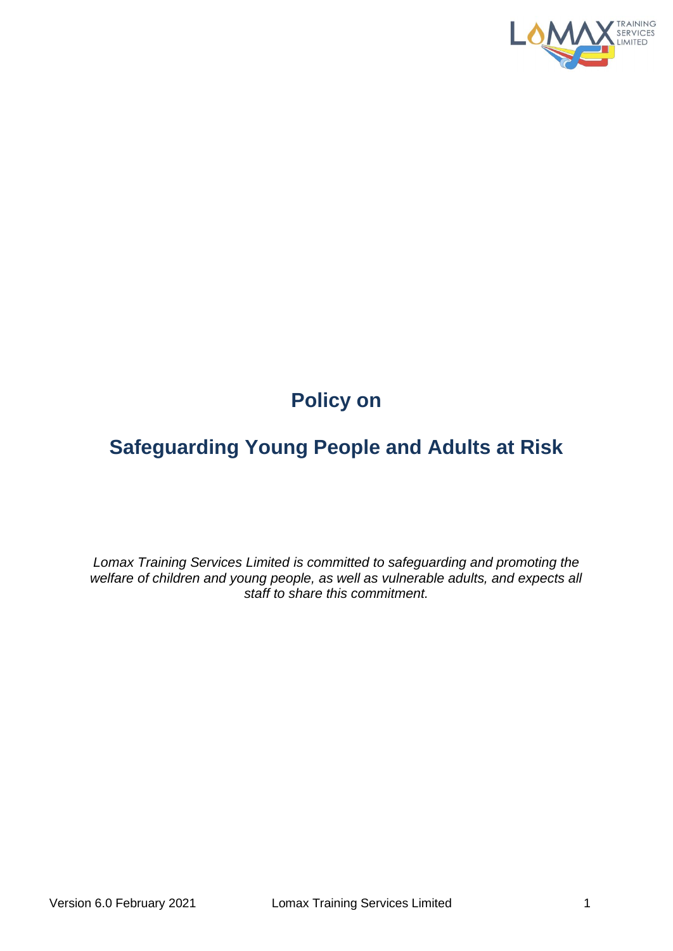

# **Policy on**

# **Safeguarding Young People and Adults at Risk**

*Lomax Training Services Limited is committed to safeguarding and promoting the*  welfare of children and young people, as well as vulnerable adults, and expects all *staff to share this commitment.*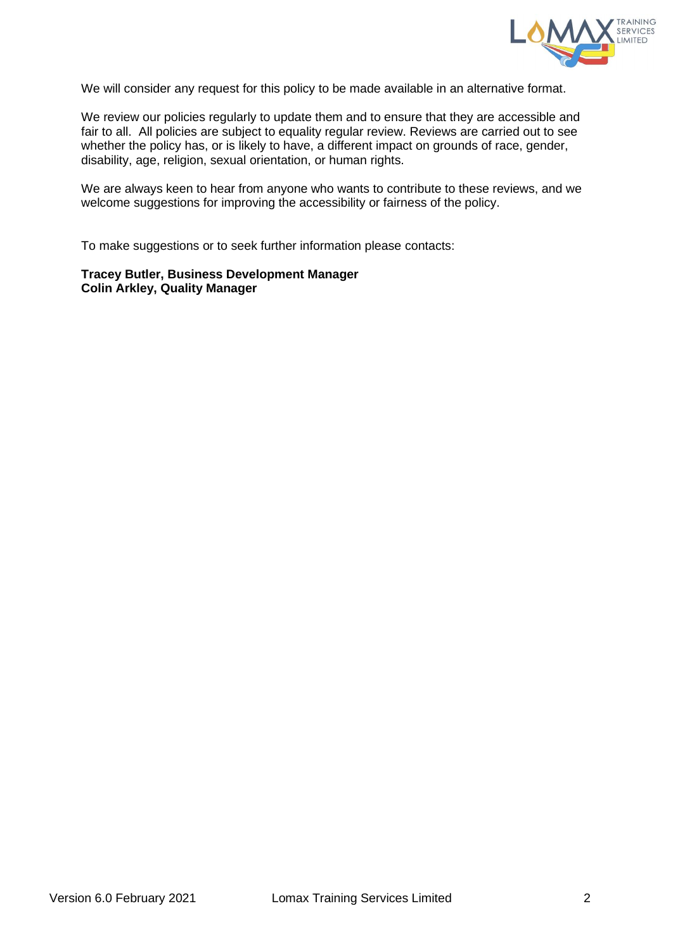

We will consider any request for this policy to be made available in an alternative format.

We review our policies regularly to update them and to ensure that they are accessible and fair to all. All policies are subject to equality regular review. Reviews are carried out to see whether the policy has, or is likely to have, a different impact on grounds of race, gender, disability, age, religion, sexual orientation, or human rights.

We are always keen to hear from anyone who wants to contribute to these reviews, and we welcome suggestions for improving the accessibility or fairness of the policy.

To make suggestions or to seek further information please contacts:

**Tracey Butler, Business Development Manager Colin Arkley, Quality Manager**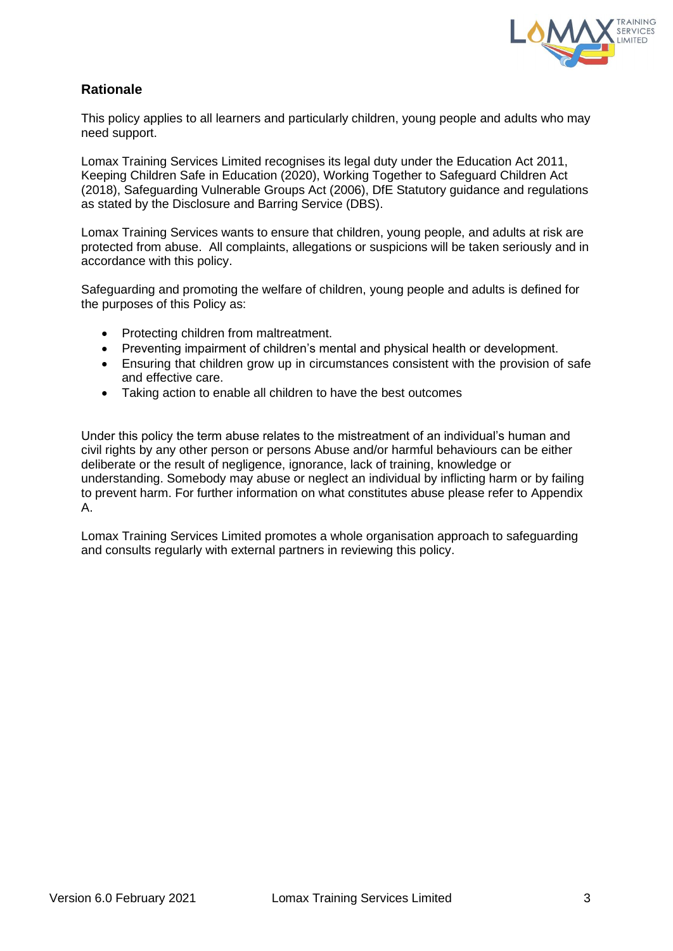

# **Rationale**

This policy applies to all learners and particularly children, young people and adults who may need support.

Lomax Training Services Limited recognises its legal duty under the Education Act 2011, Keeping Children Safe in Education (2020), Working Together to Safeguard Children Act (2018), Safeguarding Vulnerable Groups Act (2006), DfE Statutory guidance and regulations as stated by the Disclosure and Barring Service (DBS).

Lomax Training Services wants to ensure that children, young people, and adults at risk are protected from abuse. All complaints, allegations or suspicions will be taken seriously and in accordance with this policy.

Safeguarding and promoting the welfare of children, young people and adults is defined for the purposes of this Policy as:

- Protecting children from maltreatment.
- Preventing impairment of children's mental and physical health or development.
- Ensuring that children grow up in circumstances consistent with the provision of safe and effective care.
- Taking action to enable all children to have the best outcomes

Under this policy the term abuse relates to the mistreatment of an individual's human and civil rights by any other person or persons Abuse and/or harmful behaviours can be either deliberate or the result of negligence, ignorance, lack of training, knowledge or understanding. Somebody may abuse or neglect an individual by inflicting harm or by failing to prevent harm. For further information on what constitutes abuse please refer to Appendix A.

Lomax Training Services Limited promotes a whole organisation approach to safeguarding and consults regularly with external partners in reviewing this policy.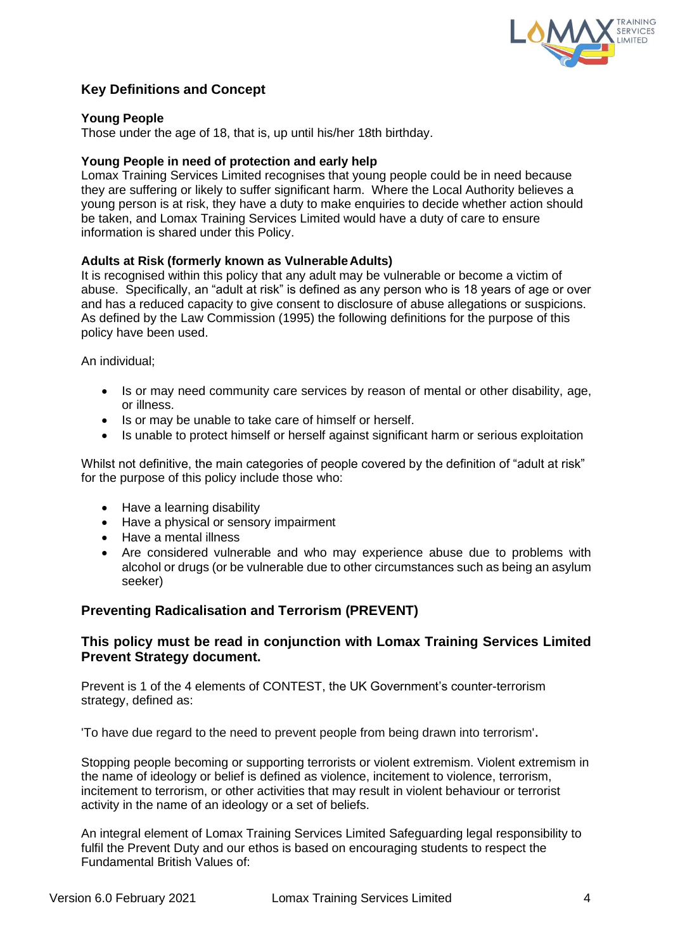

# **Key Definitions and Concept**

#### **Young People**

Those under the age of 18, that is, up until his/her 18th birthday.

#### **Young People in need of protection and early help**

Lomax Training Services Limited recognises that young people could be in need because they are suffering or likely to suffer significant harm. Where the Local Authority believes a young person is at risk, they have a duty to make enquiries to decide whether action should be taken, and Lomax Training Services Limited would have a duty of care to ensure information is shared under this Policy.

#### **Adults at Risk (formerly known as VulnerableAdults)**

It is recognised within this policy that any adult may be vulnerable or become a victim of abuse. Specifically, an "adult at risk" is defined as any person who is 18 years of age or over and has a reduced capacity to give consent to disclosure of abuse allegations or suspicions. As defined by the Law Commission (1995) the following definitions for the purpose of this policy have been used.

An individual;

- Is or may need community care services by reason of mental or other disability, age, or illness.
- Is or may be unable to take care of himself or herself.
- Is unable to protect himself or herself against significant harm or serious exploitation

Whilst not definitive, the main categories of people covered by the definition of "adult at risk" for the purpose of this policy include those who:

- Have a learning disability
- Have a physical or sensory impairment
- Have a mental illness
- Are considered vulnerable and who may experience abuse due to problems with alcohol or drugs (or be vulnerable due to other circumstances such as being an asylum seeker)

#### **Preventing Radicalisation and Terrorism (PREVENT)**

#### **This policy must be read in conjunction with Lomax Training Services Limited Prevent Strategy document.**

Prevent is 1 of the 4 elements of CONTEST, the UK Government's counter-terrorism strategy, defined as:

'To have due regard to the need to prevent people from being drawn into terrorism'.

Stopping people becoming or supporting terrorists or violent extremism. Violent extremism in the name of ideology or belief is defined as violence, incitement to violence, terrorism, incitement to terrorism, or other activities that may result in violent behaviour or terrorist activity in the name of an ideology or a set of beliefs.

An integral element of Lomax Training Services Limited Safeguarding legal responsibility to fulfil the Prevent Duty and our ethos is based on encouraging students to respect the Fundamental British Values of: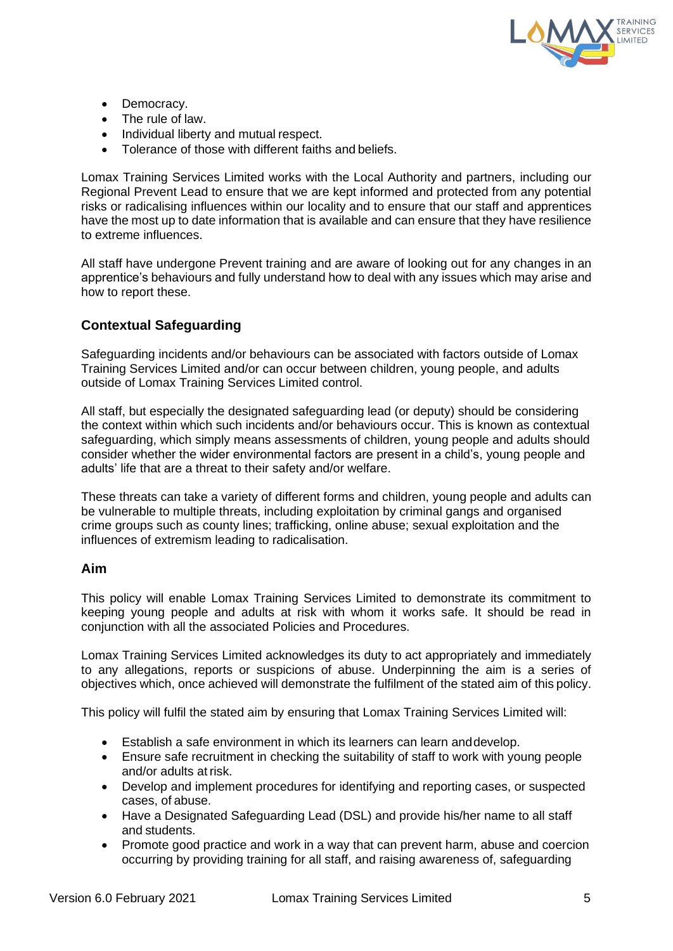

- Democracy.
- The rule of law.
- Individual liberty and mutual respect.
- Tolerance of those with different faiths and beliefs.

Lomax Training Services Limited works with the Local Authority and partners, including our Regional Prevent Lead to ensure that we are kept informed and protected from any potential risks or radicalising influences within our locality and to ensure that our staff and apprentices have the most up to date information that is available and can ensure that they have resilience to extreme influences.

All staff have undergone Prevent training and are aware of looking out for any changes in an apprentice's behaviours and fully understand how to deal with any issues which may arise and how to report these.

# **Contextual Safeguarding**

Safeguarding incidents and/or behaviours can be associated with factors outside of Lomax Training Services Limited and/or can occur between children, young people, and adults outside of Lomax Training Services Limited control.

All staff, but especially the designated safeguarding lead (or deputy) should be considering the context within which such incidents and/or behaviours occur. This is known as contextual safeguarding, which simply means assessments of children, young people and adults should consider whether the wider environmental factors are present in a child's, young people and adults' life that are a threat to their safety and/or welfare.

These threats can take a variety of different forms and children, young people and adults can be vulnerable to multiple threats, including exploitation by criminal gangs and organised crime groups such as county lines; trafficking, online abuse; sexual exploitation and the influences of extremism leading to radicalisation.

#### **Aim**

This policy will enable Lomax Training Services Limited to demonstrate its commitment to keeping young people and adults at risk with whom it works safe. It should be read in conjunction with all the associated Policies and Procedures.

Lomax Training Services Limited acknowledges its duty to act appropriately and immediately to any allegations, reports or suspicions of abuse. Underpinning the aim is a series of objectives which, once achieved will demonstrate the fulfilment of the stated aim of this policy.

This policy will fulfil the stated aim by ensuring that Lomax Training Services Limited will:

- Establish a safe environment in which its learners can learn anddevelop.
- Ensure safe recruitment in checking the suitability of staff to work with young people and/or adults at risk.
- Develop and implement procedures for identifying and reporting cases, or suspected cases, of abuse.
- Have a Designated Safeguarding Lead (DSL) and provide his/her name to all staff and students.
- Promote good practice and work in a way that can prevent harm, abuse and coercion occurring by providing training for all staff, and raising awareness of, safeguarding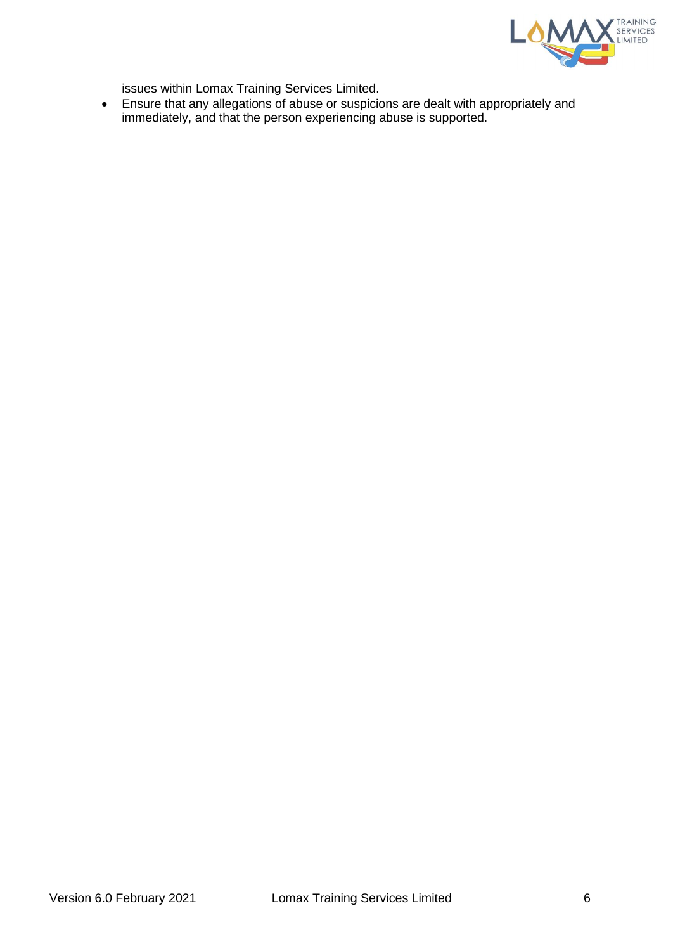

issues within Lomax Training Services Limited.

• Ensure that any allegations of abuse or suspicions are dealt with appropriately and immediately, and that the person experiencing abuse is supported.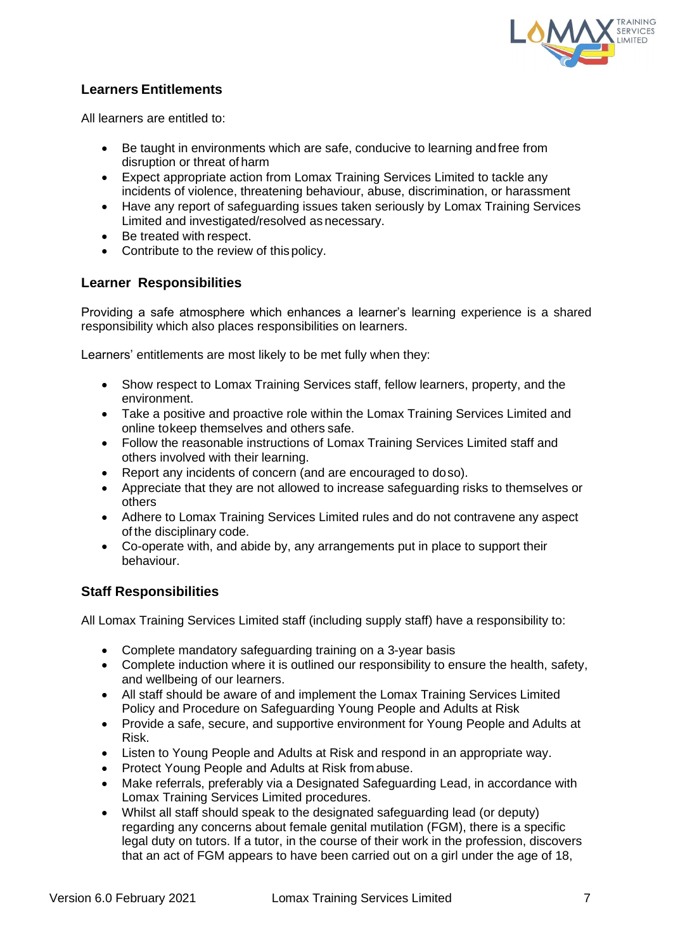

# **Learners Entitlements**

All learners are entitled to:

- Be taught in environments which are safe, conducive to learning and free from disruption or threat of harm
- Expect appropriate action from Lomax Training Services Limited to tackle any incidents of violence, threatening behaviour, abuse, discrimination, or harassment
- Have any report of safeguarding issues taken seriously by Lomax Training Services Limited and investigated/resolved as necessary.
- Be treated with respect.
- Contribute to the review of this policy.

## **Learner Responsibilities**

Providing a safe atmosphere which enhances a learner's learning experience is a shared responsibility which also places responsibilities on learners.

Learners' entitlements are most likely to be met fully when they:

- Show respect to Lomax Training Services staff, fellow learners, property, and the environment.
- Take a positive and proactive role within the Lomax Training Services Limited and online tokeep themselves and others safe.
- Follow the reasonable instructions of Lomax Training Services Limited staff and others involved with their learning.
- Report any incidents of concern (and are encouraged to doso).
- Appreciate that they are not allowed to increase safeguarding risks to themselves or others
- Adhere to Lomax Training Services Limited rules and do not contravene any aspect of the disciplinary code.
- Co-operate with, and abide by, any arrangements put in place to support their behaviour.

## **Staff Responsibilities**

All Lomax Training Services Limited staff (including supply staff) have a responsibility to:

- Complete mandatory safeguarding training on a 3-year basis
- Complete induction where it is outlined our responsibility to ensure the health, safety, and wellbeing of our learners.
- All staff should be aware of and implement the Lomax Training Services Limited Policy and Procedure on Safeguarding Young People and Adults at Risk
- Provide a safe, secure, and supportive environment for Young People and Adults at Risk.
- Listen to Young People and Adults at Risk and respond in an appropriate way.
- Protect Young People and Adults at Risk fromabuse.
- Make referrals, preferably via a Designated Safeguarding Lead, in accordance with Lomax Training Services Limited procedures.
- Whilst all staff should speak to the designated safeguarding lead (or deputy) regarding any concerns about female genital mutilation (FGM), there is a specific legal duty on tutors. If a tutor, in the course of their work in the profession, discovers that an act of FGM appears to have been carried out on a girl under the age of 18,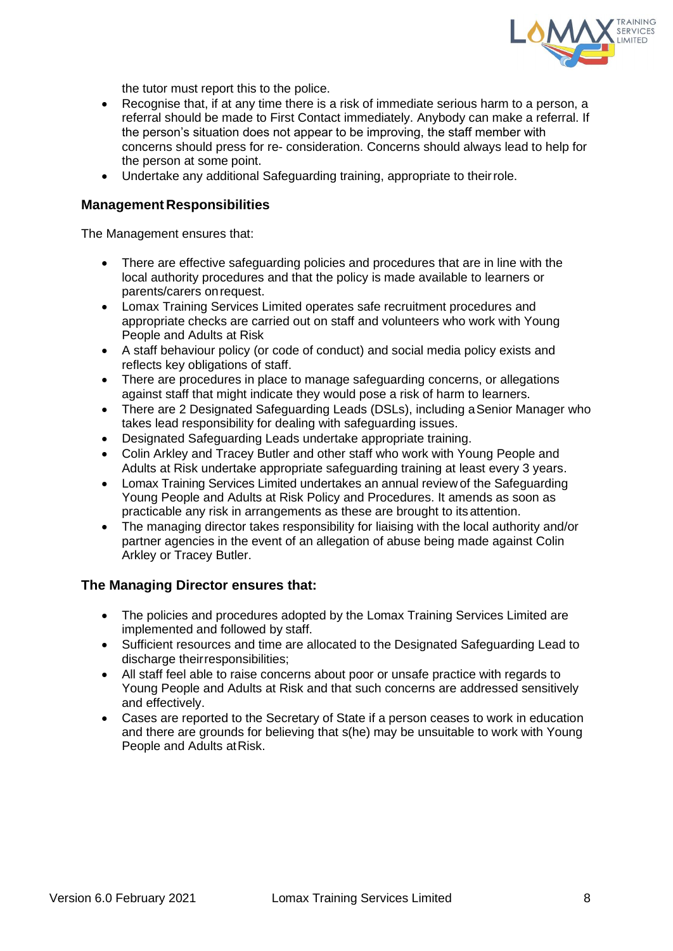

the tutor must report this to the police.

- Recognise that, if at any time there is a risk of immediate serious harm to a person, a referral should be made to First Contact immediately. Anybody can make a referral. If the person's situation does not appear to be improving, the staff member with concerns should press for re- consideration. Concerns should always lead to help for the person at some point.
- Undertake any additional Safeguarding training, appropriate to theirrole.

#### **Management Responsibilities**

The Management ensures that:

- There are effective safeguarding policies and procedures that are in line with the local authority procedures and that the policy is made available to learners or parents/carers onrequest.
- Lomax Training Services Limited operates safe recruitment procedures and appropriate checks are carried out on staff and volunteers who work with Young People and Adults at Risk
- A staff behaviour policy (or code of conduct) and social media policy exists and reflects key obligations of staff.
- There are procedures in place to manage safeguarding concerns, or allegations against staff that might indicate they would pose a risk of harm to learners.
- There are 2 Designated Safeguarding Leads (DSLs), including a Senior Manager who takes lead responsibility for dealing with safeguarding issues.
- Designated Safeguarding Leads undertake appropriate training.
- Colin Arkley and Tracey Butler and other staff who work with Young People and Adults at Risk undertake appropriate safeguarding training at least every 3 years.
- Lomax Training Services Limited undertakes an annual review of the Safeguarding Young People and Adults at Risk Policy and Procedures. It amends as soon as practicable any risk in arrangements as these are brought to itsattention.
- The managing director takes responsibility for liaising with the local authority and/or partner agencies in the event of an allegation of abuse being made against Colin Arkley or Tracey Butler.

#### **The Managing Director ensures that:**

- The policies and procedures adopted by the Lomax Training Services Limited are implemented and followed by staff.
- Sufficient resources and time are allocated to the Designated Safeguarding Lead to discharge their responsibilities:
- All staff feel able to raise concerns about poor or unsafe practice with regards to Young People and Adults at Risk and that such concerns are addressed sensitively and effectively.
- Cases are reported to the Secretary of State if a person ceases to work in education and there are grounds for believing that s(he) may be unsuitable to work with Young People and Adults at Risk.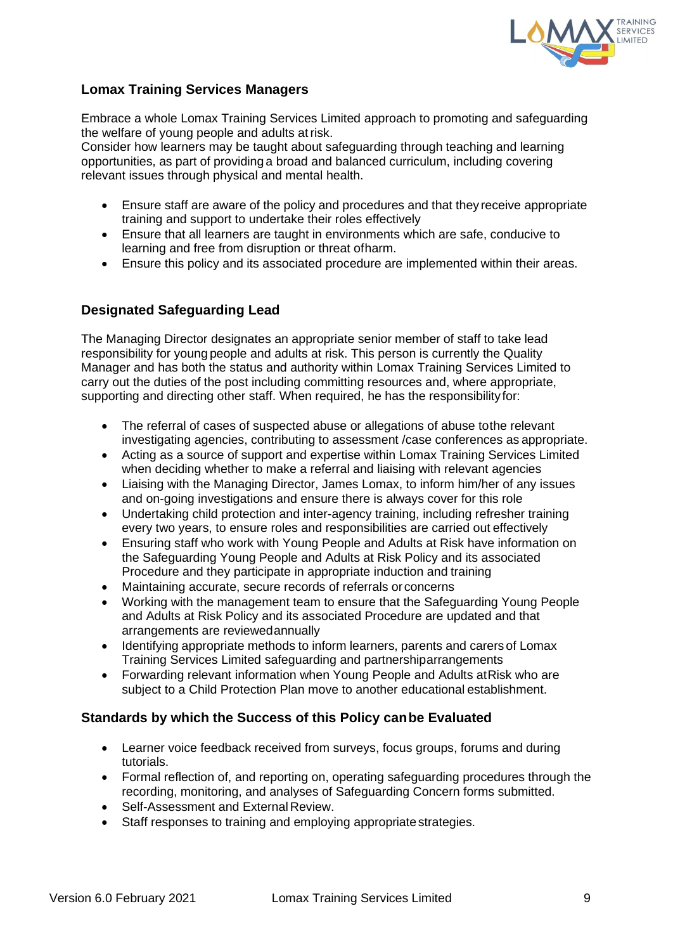

# **Lomax Training Services Managers**

Embrace a whole Lomax Training Services Limited approach to promoting and safeguarding the welfare of young people and adults atrisk.

Consider how learners may be taught about safeguarding through teaching and learning opportunities, as part of providing a broad and balanced curriculum, including covering relevant issues through physical and mental health.

- Ensure staff are aware of the policy and procedures and that they receive appropriate training and support to undertake their roles effectively
- Ensure that all learners are taught in environments which are safe, conducive to learning and free from disruption or threat ofharm.
- Ensure this policy and its associated procedure are implemented within their areas.

## **Designated Safeguarding Lead**

The Managing Director designates an appropriate senior member of staff to take lead responsibility for young people and adults at risk. This person is currently the Quality Manager and has both the status and authority within Lomax Training Services Limited to carry out the duties of the post including committing resources and, where appropriate, supporting and directing other staff. When required, he has the responsibilityfor:

- The referral of cases of suspected abuse or allegations of abuse tothe relevant investigating agencies, contributing to assessment /case conferences as appropriate.
- Acting as a source of support and expertise within Lomax Training Services Limited when deciding whether to make a referral and liaising with relevant agencies
- Liaising with the Managing Director, James Lomax, to inform him/her of any issues and on-going investigations and ensure there is always cover for this role
- Undertaking child protection and inter-agency training, including refresher training every two years, to ensure roles and responsibilities are carried out effectively
- Ensuring staff who work with Young People and Adults at Risk have information on the Safeguarding Young People and Adults at Risk Policy and its associated Procedure and they participate in appropriate induction and training
- Maintaining accurate, secure records of referrals orconcerns
- Working with the management team to ensure that the Safeguarding Young People and Adults at Risk Policy and its associated Procedure are updated and that arrangements are reviewedannually
- Identifying appropriate methods to inform learners, parents and carers of Lomax Training Services Limited safeguarding and partnershiparrangements
- Forwarding relevant information when Young People and Adults atRisk who are subject to a Child Protection Plan move to another educational establishment.

## **Standards by which the Success of this Policy canbe Evaluated**

- Learner voice feedback received from surveys, focus groups, forums and during tutorials.
- Formal reflection of, and reporting on, operating safeguarding procedures through the recording, monitoring, and analyses of Safeguarding Concern forms submitted.
- Self-Assessment and External Review.
- Staff responses to training and employing appropriate strategies.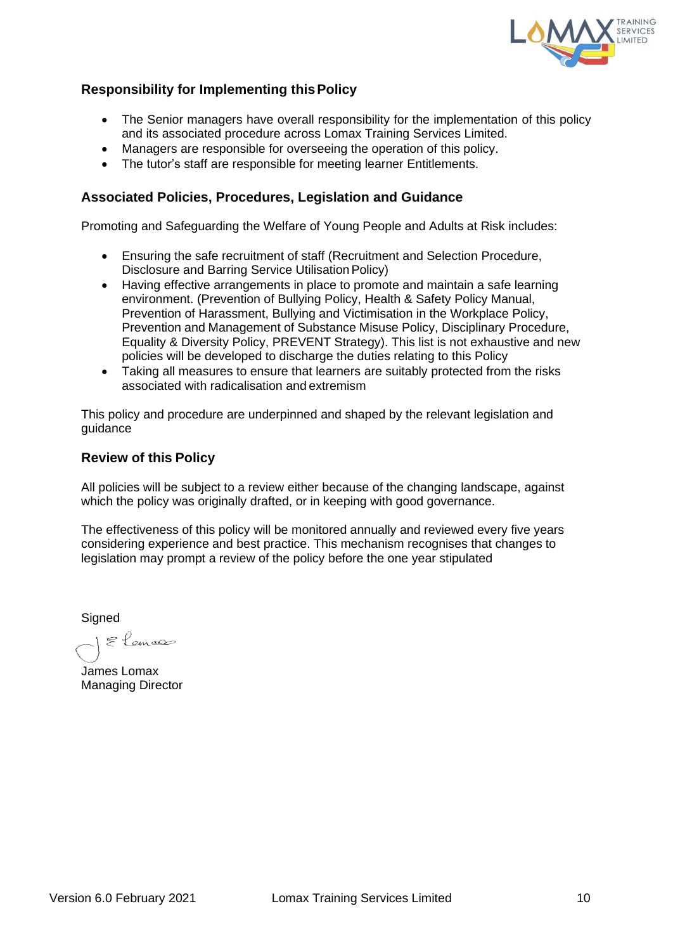

# **Responsibility for Implementing thisPolicy**

- The Senior managers have overall responsibility for the implementation of this policy and its associated procedure across Lomax Training Services Limited.
- Managers are responsible for overseeing the operation of this policy.
- The tutor's staff are responsible for meeting learner Entitlements.

### **Associated Policies, Procedures, Legislation and Guidance**

Promoting and Safeguarding the Welfare of Young People and Adults at Risk includes:

- Ensuring the safe recruitment of staff (Recruitment and Selection Procedure, Disclosure and Barring Service Utilisation Policy)
- Having effective arrangements in place to promote and maintain a safe learning environment. (Prevention of Bullying Policy, Health & Safety Policy Manual, Prevention of Harassment, Bullying and Victimisation in the Workplace Policy, Prevention and Management of Substance Misuse Policy, Disciplinary Procedure, Equality & Diversity Policy, PREVENT Strategy). This list is not exhaustive and new policies will be developed to discharge the duties relating to this Policy
- Taking all measures to ensure that learners are suitably protected from the risks associated with radicalisation and extremism

This policy and procedure are underpinned and shaped by the relevant legislation and guidance

#### **Review of this Policy**

All policies will be subject to a review either because of the changing landscape, against which the policy was originally drafted, or in keeping with good governance.

The effectiveness of this policy will be monitored annually and reviewed every five years considering experience and best practice. This mechanism recognises that changes to legislation may prompt a review of the policy before the one year stipulated

**Signed** 

E Lemas

James Lomax Managing Director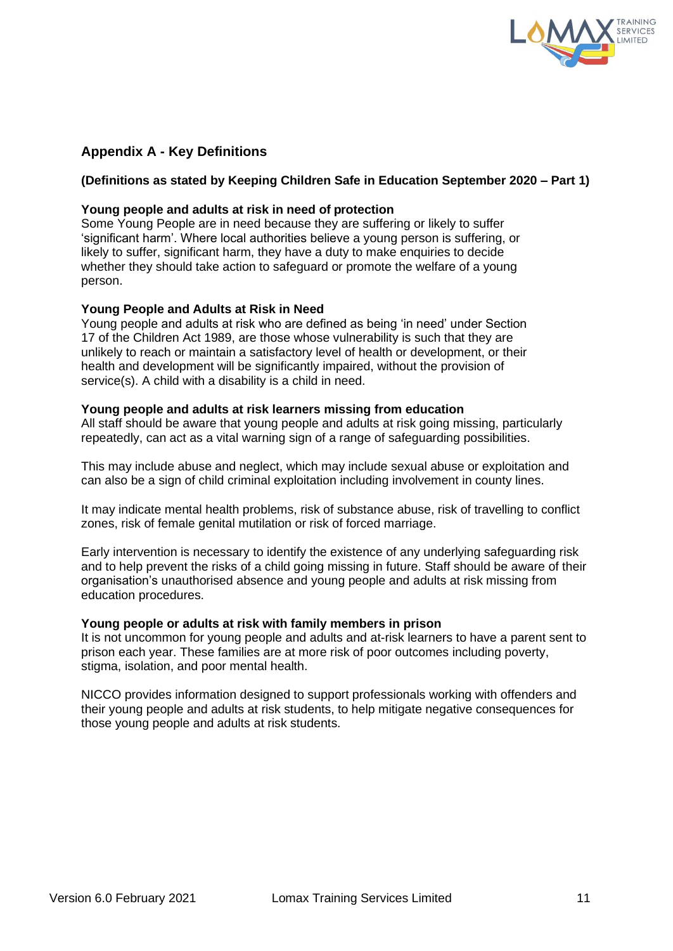

# **Appendix A - Key Definitions**

#### **(Definitions as stated by Keeping Children Safe in Education September 2020 – Part 1)**

#### **Young people and adults at risk in need of protection**

Some Young People are in need because they are suffering or likely to suffer 'significant harm'. Where local authorities believe a young person is suffering, or likely to suffer, significant harm, they have a duty to make enquiries to decide whether they should take action to safeguard or promote the welfare of a young person.

#### **Young People and Adults at Risk in Need**

Young people and adults at risk who are defined as being 'in need' under Section 17 of the Children Act 1989, are those whose vulnerability is such that they are unlikely to reach or maintain a satisfactory level of health or development, or their health and development will be significantly impaired, without the provision of service(s). A child with a disability is a child in need.

#### **Young people and adults at risk learners missing from education**

All staff should be aware that young people and adults at risk going missing, particularly repeatedly, can act as a vital warning sign of a range of safeguarding possibilities.

This may include abuse and neglect, which may include sexual abuse or exploitation and can also be a sign of child criminal exploitation including involvement in county lines.

It may indicate mental health problems, risk of substance abuse, risk of travelling to conflict zones, risk of female genital mutilation or risk of forced marriage.

Early intervention is necessary to identify the existence of any underlying safeguarding risk and to help prevent the risks of a child going missing in future. Staff should be aware of their organisation's unauthorised absence and young people and adults at risk missing from education procedures.

#### **Young people or adults at risk with family members in prison**

It is not uncommon for young people and adults and at-risk learners to have a parent sent to prison each year. These families are at more risk of poor outcomes including poverty, stigma, isolation, and poor mental health.

NICCO provides information designed to support professionals working with offenders and their young people and adults at risk students, to help mitigate negative consequences for those young people and adults at risk students.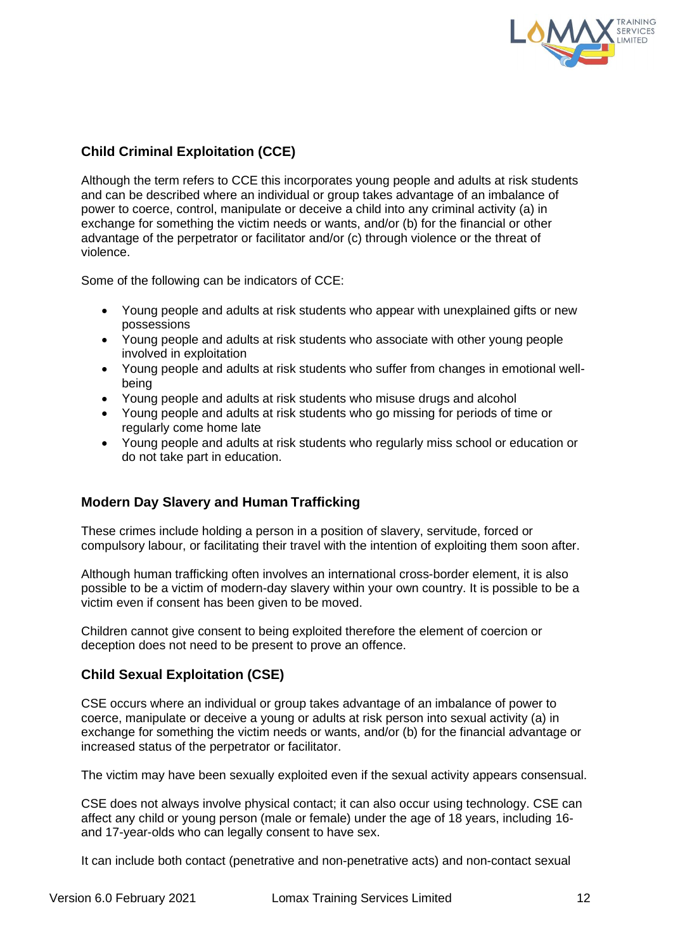

# **Child Criminal Exploitation (CCE)**

Although the term refers to CCE this incorporates young people and adults at risk students and can be described where an individual or group takes advantage of an imbalance of power to coerce, control, manipulate or deceive a child into any criminal activity (a) in exchange for something the victim needs or wants, and/or (b) for the financial or other advantage of the perpetrator or facilitator and/or (c) through violence or the threat of violence.

Some of the following can be indicators of CCE:

- Young people and adults at risk students who appear with unexplained gifts or new possessions
- Young people and adults at risk students who associate with other young people involved in exploitation
- Young people and adults at risk students who suffer from changes in emotional wellbeing
- Young people and adults at risk students who misuse drugs and alcohol
- Young people and adults at risk students who go missing for periods of time or regularly come home late
- Young people and adults at risk students who regularly miss school or education or do not take part in education.

## **Modern Day Slavery and Human Trafficking**

These crimes include holding a person in a position of slavery, servitude, forced or compulsory labour, or facilitating their travel with the intention of exploiting them soon after.

Although human trafficking often involves an international cross-border element, it is also possible to be a victim of modern-day slavery within your own country. It is possible to be a victim even if consent has been given to be moved.

Children cannot give consent to being exploited therefore the element of coercion or deception does not need to be present to prove an offence.

#### **Child Sexual Exploitation (CSE)**

CSE occurs where an individual or group takes advantage of an imbalance of power to coerce, manipulate or deceive a young or adults at risk person into sexual activity (a) in exchange for something the victim needs or wants, and/or (b) for the financial advantage or increased status of the perpetrator or facilitator.

The victim may have been sexually exploited even if the sexual activity appears consensual.

CSE does not always involve physical contact; it can also occur using technology. CSE can affect any child or young person (male or female) under the age of 18 years, including 16 and 17-year-olds who can legally consent to have sex.

It can include both contact (penetrative and non-penetrative acts) and non-contact sexual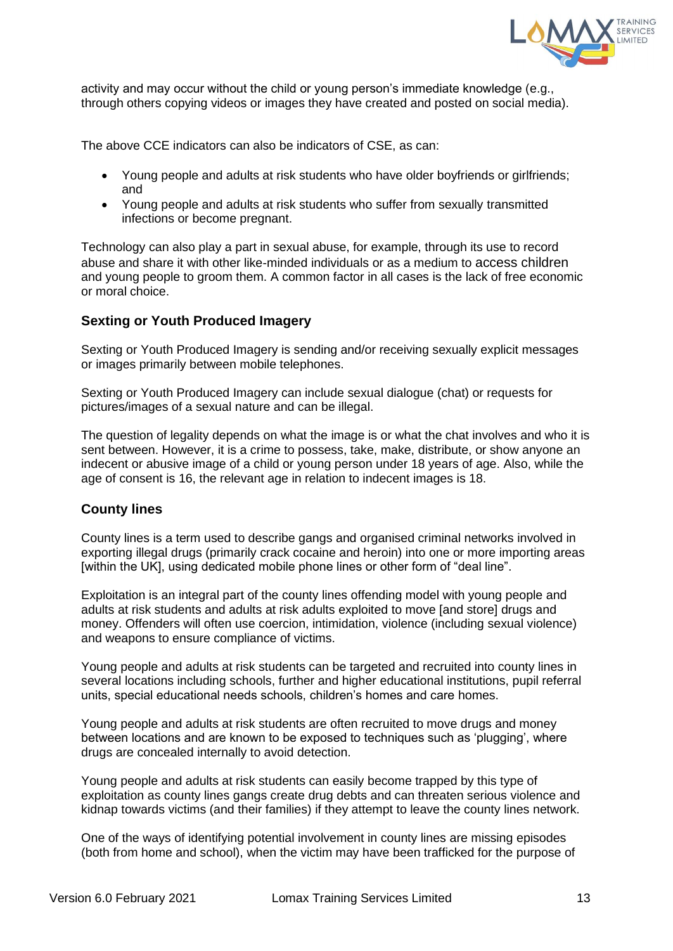

activity and may occur without the child or young person's immediate knowledge (e.g., through others copying videos or images they have created and posted on social media).

The above CCE indicators can also be indicators of CSE, as can:

- Young people and adults at risk students who have older boyfriends or girlfriends; and
- Young people and adults at risk students who suffer from sexually transmitted infections or become pregnant.

Technology can also play a part in sexual abuse, for example, through its use to record abuse and share it with other like-minded individuals or as a medium to access children and young people to groom them. A common factor in all cases is the lack of free economic or moral choice.

#### **Sexting or Youth Produced Imagery**

Sexting or Youth Produced Imagery is sending and/or receiving sexually explicit messages or images primarily between mobile telephones.

Sexting or Youth Produced Imagery can include sexual dialogue (chat) or requests for pictures/images of a sexual nature and can be illegal.

The question of legality depends on what the image is or what the chat involves and who it is sent between. However, it is a crime to possess, take, make, distribute, or show anyone an indecent or abusive image of a child or young person under 18 years of age. Also, while the age of consent is 16, the relevant age in relation to indecent images is 18.

#### **County lines**

County lines is a term used to describe gangs and organised criminal networks involved in exporting illegal drugs (primarily crack cocaine and heroin) into one or more importing areas [within the UK], using dedicated mobile phone lines or other form of "deal line".

Exploitation is an integral part of the county lines offending model with young people and adults at risk students and adults at risk adults exploited to move [and store] drugs and money. Offenders will often use coercion, intimidation, violence (including sexual violence) and weapons to ensure compliance of victims.

Young people and adults at risk students can be targeted and recruited into county lines in several locations including schools, further and higher educational institutions, pupil referral units, special educational needs schools, children's homes and care homes.

Young people and adults at risk students are often recruited to move drugs and money between locations and are known to be exposed to techniques such as 'plugging', where drugs are concealed internally to avoid detection.

Young people and adults at risk students can easily become trapped by this type of exploitation as county lines gangs create drug debts and can threaten serious violence and kidnap towards victims (and their families) if they attempt to leave the county lines network.

One of the ways of identifying potential involvement in county lines are missing episodes (both from home and school), when the victim may have been trafficked for the purpose of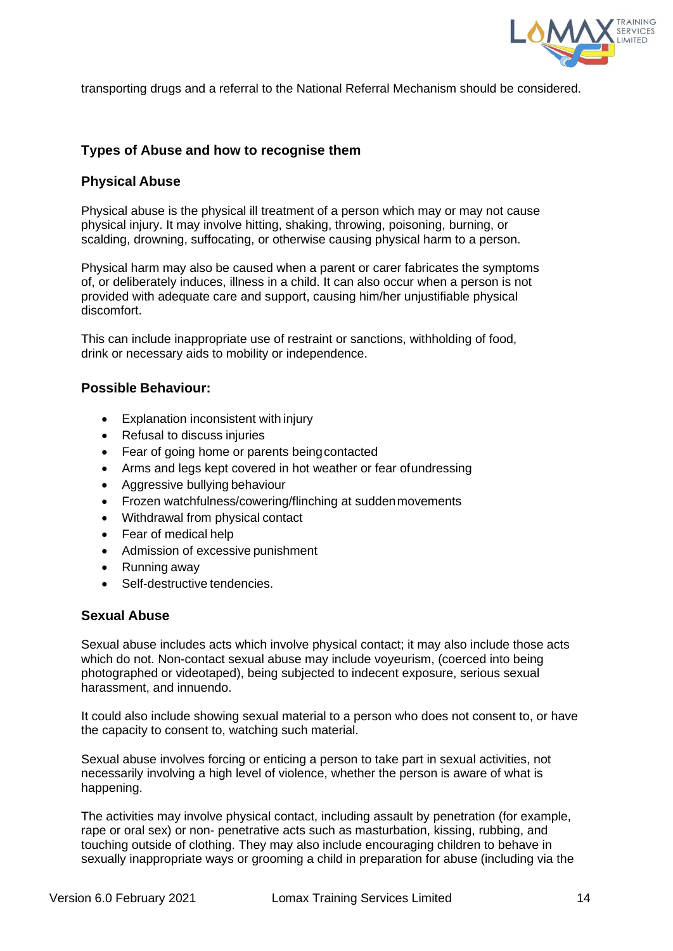

transporting drugs and a referral to the National Referral Mechanism should be considered.

#### **Types of Abuse and how to recognise them**

#### **Physical Abuse**

Physical abuse is the physical ill treatment of a person which may or may not cause physical injury. It may involve hitting, shaking, throwing, poisoning, burning, or scalding, drowning, suffocating, or otherwise causing physical harm to a person.

Physical harm may also be caused when a parent or carer fabricates the symptoms of, or deliberately induces, illness in a child. It can also occur when a person is not provided with adequate care and support, causing him/her unjustifiable physical discomfort.

This can include inappropriate use of restraint or sanctions, withholding of food, drink or necessary aids to mobility or independence.

#### **Possible Behaviour:**

- Explanation inconsistent with injury
- Refusal to discuss injuries
- Fear of going home or parents being contacted
- Arms and legs kept covered in hot weather or fear ofundressing
- Aggressive bullying behaviour
- Frozen watchfulness/cowering/flinching at sudden movements
- Withdrawal from physical contact
- Fear of medical help
- Admission of excessive punishment
- Running away
- Self-destructive tendencies.

#### **Sexual Abuse**

Sexual abuse includes acts which involve physical contact; it may also include those acts which do not. Non-contact sexual abuse may include voyeurism, (coerced into being photographed or videotaped), being subjected to indecent exposure, serious sexual harassment, and innuendo.

It could also include showing sexual material to a person who does not consent to, or have the capacity to consent to, watching such material.

Sexual abuse involves forcing or enticing a person to take part in sexual activities, not necessarily involving a high level of violence, whether the person is aware of what is happening.

The activities may involve physical contact, including assault by penetration (for example, rape or oral sex) or non- penetrative acts such as masturbation, kissing, rubbing, and touching outside of clothing. They may also include encouraging children to behave in sexually inappropriate ways or grooming a child in preparation for abuse (including via the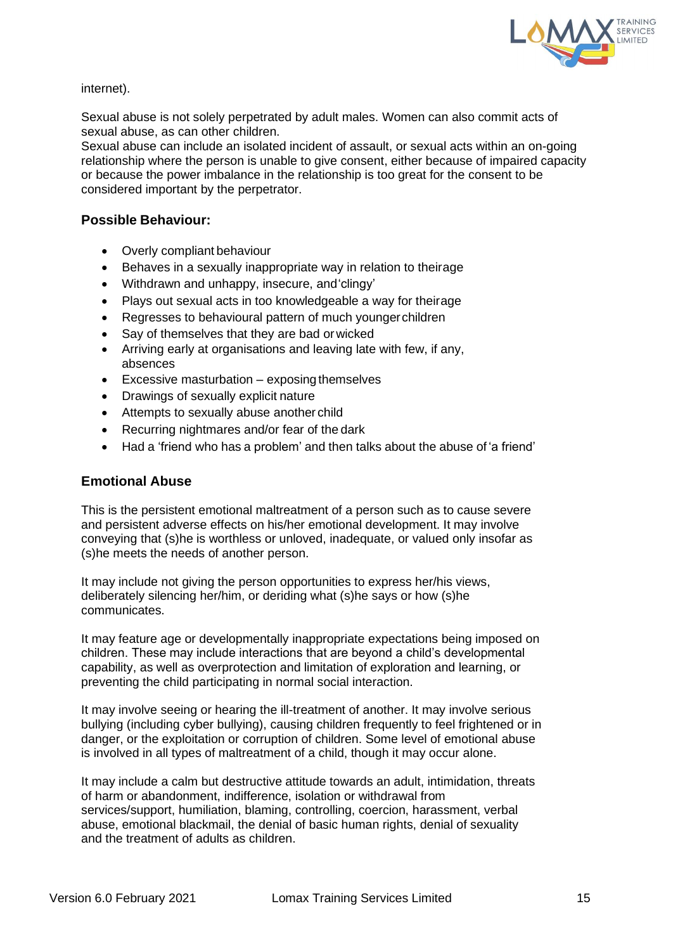

internet).

Sexual abuse is not solely perpetrated by adult males. Women can also commit acts of sexual abuse, as can other children.

Sexual abuse can include an isolated incident of assault, or sexual acts within an on-going relationship where the person is unable to give consent, either because of impaired capacity or because the power imbalance in the relationship is too great for the consent to be considered important by the perpetrator.

#### **Possible Behaviour:**

- Overly compliant behaviour
- Behaves in a sexually inappropriate way in relation to theirage
- Withdrawn and unhappy, insecure, and'clingy'
- Plays out sexual acts in too knowledgeable a way for theirage
- Regresses to behavioural pattern of much youngerchildren
- Say of themselves that they are bad orwicked
- Arriving early at organisations and leaving late with few, if any, absences
- $\bullet$  Excessive masturbation exposing themselves
- Drawings of sexually explicit nature
- Attempts to sexually abuse another child
- Recurring nightmares and/or fear of the dark
- Had a 'friend who has a problem' and then talks about the abuse of 'a friend'

#### **Emotional Abuse**

This is the persistent emotional maltreatment of a person such as to cause severe and persistent adverse effects on his/her emotional development. It may involve conveying that (s)he is worthless or unloved, inadequate, or valued only insofar as (s)he meets the needs of another person.

It may include not giving the person opportunities to express her/his views, deliberately silencing her/him, or deriding what (s)he says or how (s)he communicates.

It may feature age or developmentally inappropriate expectations being imposed on children. These may include interactions that are beyond a child's developmental capability, as well as overprotection and limitation of exploration and learning, or preventing the child participating in normal social interaction.

It may involve seeing or hearing the ill-treatment of another. It may involve serious bullying (including cyber bullying), causing children frequently to feel frightened or in danger, or the exploitation or corruption of children. Some level of emotional abuse is involved in all types of maltreatment of a child, though it may occur alone.

It may include a calm but destructive attitude towards an adult, intimidation, threats of harm or abandonment, indifference, isolation or withdrawal from services/support, humiliation, blaming, controlling, coercion, harassment, verbal abuse, emotional blackmail, the denial of basic human rights, denial of sexuality and the treatment of adults as children.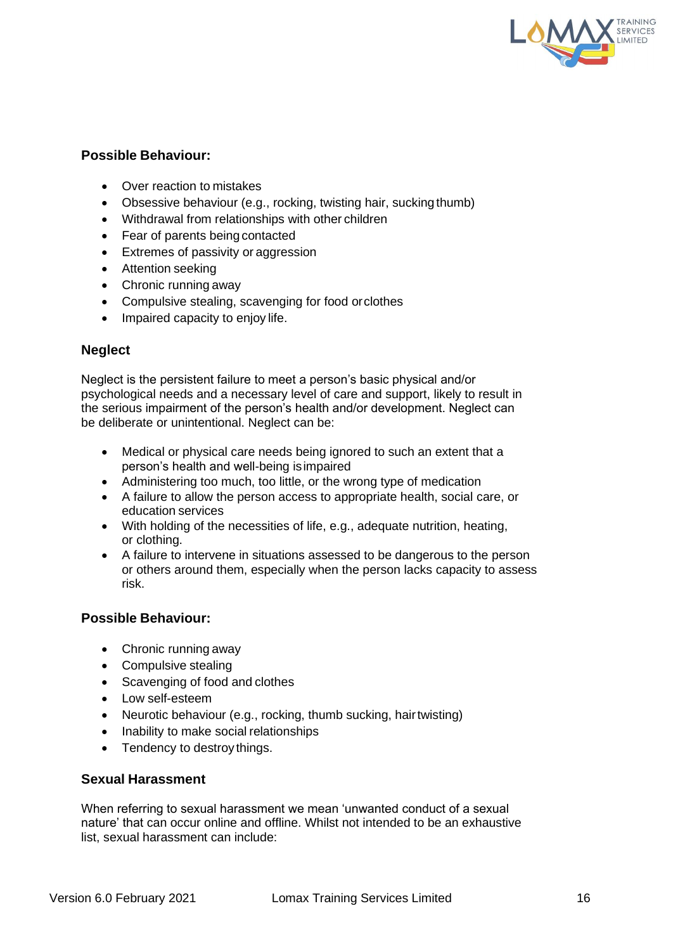

#### **Possible Behaviour:**

- Over reaction to mistakes
- Obsessive behaviour (e.g., rocking, twisting hair, sucking thumb)
- Withdrawal from relationships with other children
- Fear of parents being contacted
- Extremes of passivity or aggression
- Attention seeking
- Chronic running away
- Compulsive stealing, scavenging for food orclothes
- Impaired capacity to enjoy life.

#### **Neglect**

Neglect is the persistent failure to meet a person's basic physical and/or psychological needs and a necessary level of care and support, likely to result in the serious impairment of the person's health and/or development. Neglect can be deliberate or unintentional. Neglect can be:

- Medical or physical care needs being ignored to such an extent that a person's health and well-being isimpaired
- Administering too much, too little, or the wrong type of medication
- A failure to allow the person access to appropriate health, social care, or education services
- With holding of the necessities of life, e.g., adequate nutrition, heating, or clothing.
- A failure to intervene in situations assessed to be dangerous to the person or others around them, especially when the person lacks capacity to assess risk.

#### **Possible Behaviour:**

- Chronic running away
- Compulsive stealing
- Scavenging of food and clothes
- Low self-esteem
- Neurotic behaviour (e.g., rocking, thumb sucking, hairtwisting)
- Inability to make social relationships
- Tendency to destroy things.

#### **Sexual Harassment**

When referring to sexual harassment we mean 'unwanted conduct of a sexual nature' that can occur online and offline. Whilst not intended to be an exhaustive list, sexual harassment can include: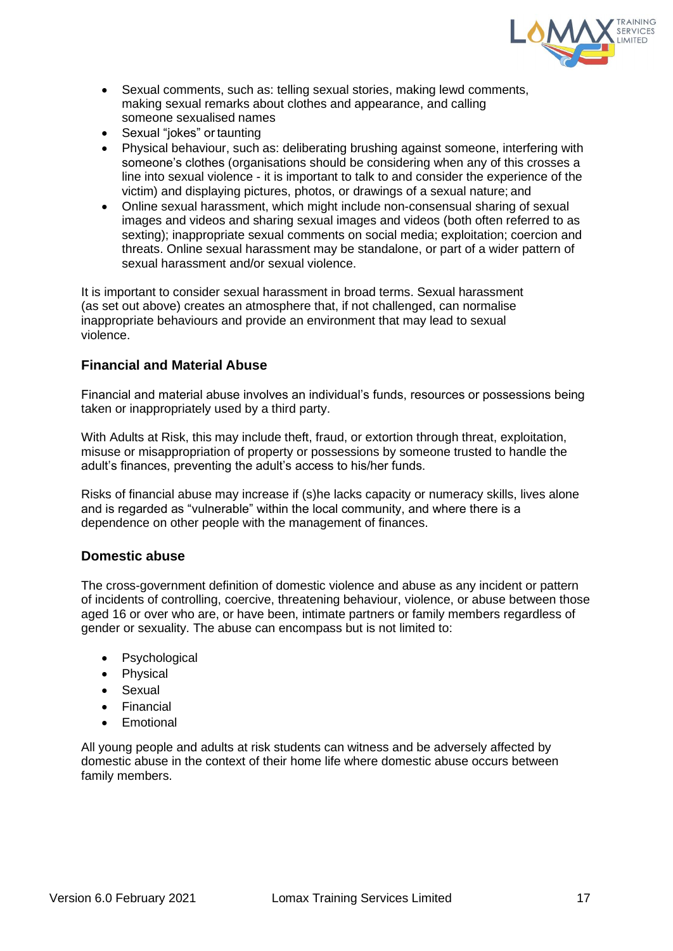

- Sexual comments, such as: telling sexual stories, making lewd comments, making sexual remarks about clothes and appearance, and calling someone sexualised names
- Sexual "jokes" or taunting
- Physical behaviour, such as: deliberating brushing against someone, interfering with someone's clothes (organisations should be considering when any of this crosses a line into sexual violence - it is important to talk to and consider the experience of the victim) and displaying pictures, photos, or drawings of a sexual nature; and
- Online sexual harassment, which might include non-consensual sharing of sexual images and videos and sharing sexual images and videos (both often referred to as sexting); inappropriate sexual comments on social media; exploitation; coercion and threats. Online sexual harassment may be standalone, or part of a wider pattern of sexual harassment and/or sexual violence.

It is important to consider sexual harassment in broad terms. Sexual harassment (as set out above) creates an atmosphere that, if not challenged, can normalise inappropriate behaviours and provide an environment that may lead to sexual violence.

#### **Financial and Material Abuse**

Financial and material abuse involves an individual's funds, resources or possessions being taken or inappropriately used by a third party.

With Adults at Risk, this may include theft, fraud, or extortion through threat, exploitation, misuse or misappropriation of property or possessions by someone trusted to handle the adult's finances, preventing the adult's access to his/her funds.

Risks of financial abuse may increase if (s)he lacks capacity or numeracy skills, lives alone and is regarded as "vulnerable" within the local community, and where there is a dependence on other people with the management of finances.

#### **Domestic abuse**

The cross-government definition of domestic violence and abuse as any incident or pattern of incidents of controlling, coercive, threatening behaviour, violence, or abuse between those aged 16 or over who are, or have been, intimate partners or family members regardless of gender or sexuality. The abuse can encompass but is not limited to:

- Psychological
- Physical
- Sexual
- Financial
- Emotional

All young people and adults at risk students can witness and be adversely affected by domestic abuse in the context of their home life where domestic abuse occurs between family members.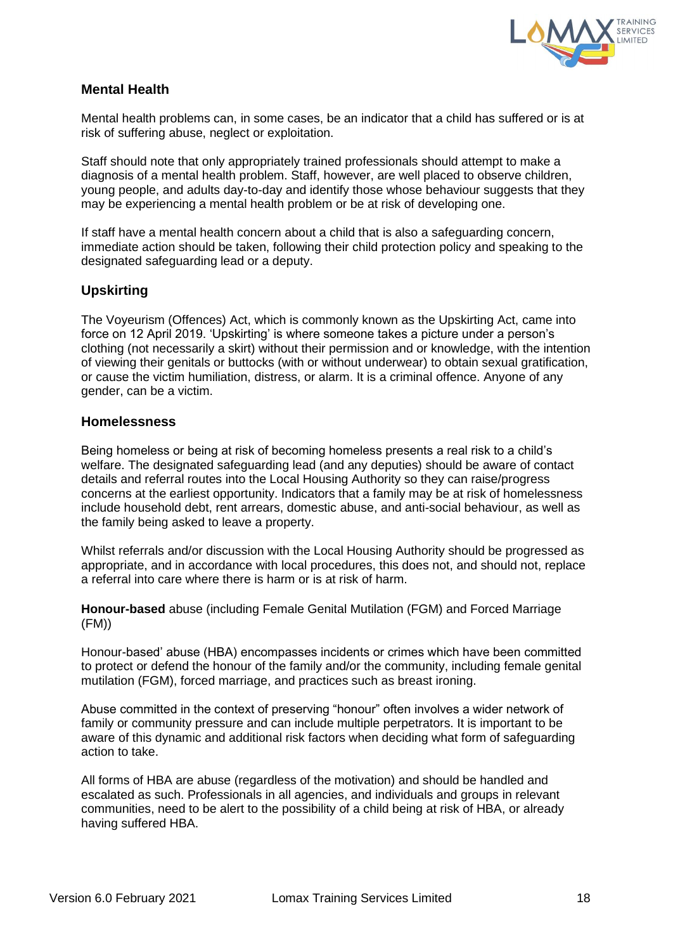

# **Mental Health**

Mental health problems can, in some cases, be an indicator that a child has suffered or is at risk of suffering abuse, neglect or exploitation.

Staff should note that only appropriately trained professionals should attempt to make a diagnosis of a mental health problem. Staff, however, are well placed to observe children, young people, and adults day-to-day and identify those whose behaviour suggests that they may be experiencing a mental health problem or be at risk of developing one.

If staff have a mental health concern about a child that is also a safeguarding concern, immediate action should be taken, following their child protection policy and speaking to the designated safeguarding lead or a deputy.

## **Upskirting**

The Voyeurism (Offences) Act, which is commonly known as the Upskirting Act, came into force on 12 April 2019. 'Upskirting' is where someone takes a picture under a person's clothing (not necessarily a skirt) without their permission and or knowledge, with the intention of viewing their genitals or buttocks (with or without underwear) to obtain sexual gratification, or cause the victim humiliation, distress, or alarm. It is a criminal offence. Anyone of any gender, can be a victim.

#### **Homelessness**

Being homeless or being at risk of becoming homeless presents a real risk to a child's welfare. The designated safeguarding lead (and any deputies) should be aware of contact details and referral routes into the Local Housing Authority so they can raise/progress concerns at the earliest opportunity. Indicators that a family may be at risk of homelessness include household debt, rent arrears, domestic abuse, and anti-social behaviour, as well as the family being asked to leave a property.

Whilst referrals and/or discussion with the Local Housing Authority should be progressed as appropriate, and in accordance with local procedures, this does not, and should not, replace a referral into care where there is harm or is at risk of harm.

**Honour-based** abuse (including Female Genital Mutilation (FGM) and Forced Marriage (FM))

Honour-based' abuse (HBA) encompasses incidents or crimes which have been committed to protect or defend the honour of the family and/or the community, including female genital mutilation (FGM), forced marriage, and practices such as breast ironing.

Abuse committed in the context of preserving "honour" often involves a wider network of family or community pressure and can include multiple perpetrators. It is important to be aware of this dynamic and additional risk factors when deciding what form of safeguarding action to take.

All forms of HBA are abuse (regardless of the motivation) and should be handled and escalated as such. Professionals in all agencies, and individuals and groups in relevant communities, need to be alert to the possibility of a child being at risk of HBA, or already having suffered HBA.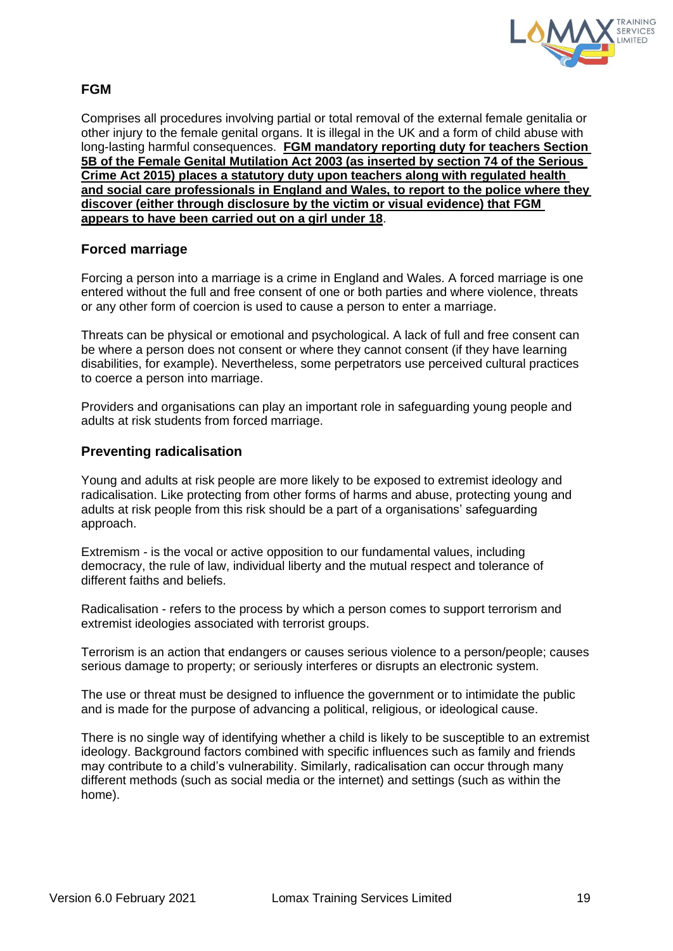

# **FGM**

Comprises all procedures involving partial or total removal of the external female genitalia or other injury to the female genital organs. It is illegal in the UK and a form of child abuse with long-lasting harmful consequences. **FGM mandatory reporting duty for teachers Section 5B of the Female Genital Mutilation Act 2003 (as inserted by section 74 of the Serious Crime Act 2015) places a statutory duty upon teachers along with regulated health and social care professionals in England and Wales, to report to the police where they discover (either through disclosure by the victim or visual evidence) that FGM appears to have been carried out on a girl under 18**.

#### **Forced marriage**

Forcing a person into a marriage is a crime in England and Wales. A forced marriage is one entered without the full and free consent of one or both parties and where violence, threats or any other form of coercion is used to cause a person to enter a marriage.

Threats can be physical or emotional and psychological. A lack of full and free consent can be where a person does not consent or where they cannot consent (if they have learning disabilities, for example). Nevertheless, some perpetrators use perceived cultural practices to coerce a person into marriage.

Providers and organisations can play an important role in safeguarding young people and adults at risk students from forced marriage.

#### **Preventing radicalisation**

Young and adults at risk people are more likely to be exposed to extremist ideology and radicalisation. Like protecting from other forms of harms and abuse, protecting young and adults at risk people from this risk should be a part of a organisations' safeguarding approach.

Extremism - is the vocal or active opposition to our fundamental values, including democracy, the rule of law, individual liberty and the mutual respect and tolerance of different faiths and beliefs.

Radicalisation - refers to the process by which a person comes to support terrorism and extremist ideologies associated with terrorist groups.

Terrorism is an action that endangers or causes serious violence to a person/people; causes serious damage to property; or seriously interferes or disrupts an electronic system.

The use or threat must be designed to influence the government or to intimidate the public and is made for the purpose of advancing a political, religious, or ideological cause.

There is no single way of identifying whether a child is likely to be susceptible to an extremist ideology. Background factors combined with specific influences such as family and friends may contribute to a child's vulnerability. Similarly, radicalisation can occur through many different methods (such as social media or the internet) and settings (such as within the home).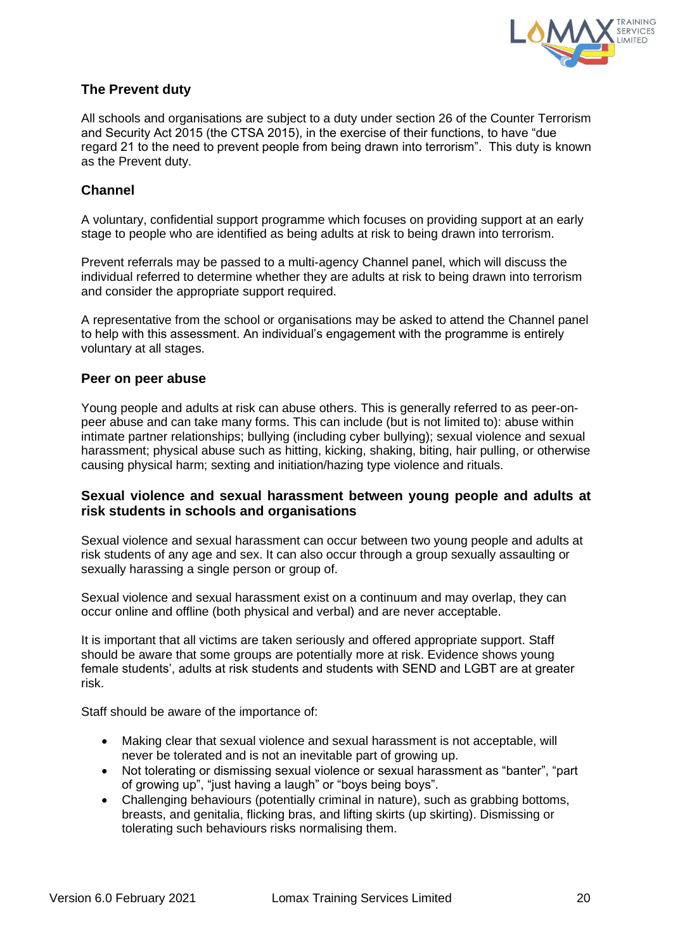

# **The Prevent duty**

All schools and organisations are subject to a duty under section 26 of the Counter Terrorism and Security Act 2015 (the CTSA 2015), in the exercise of their functions, to have "due regard 21 to the need to prevent people from being drawn into terrorism". This duty is known as the Prevent duty.

## **Channel**

A voluntary, confidential support programme which focuses on providing support at an early stage to people who are identified as being adults at risk to being drawn into terrorism.

Prevent referrals may be passed to a multi-agency Channel panel, which will discuss the individual referred to determine whether they are adults at risk to being drawn into terrorism and consider the appropriate support required.

A representative from the school or organisations may be asked to attend the Channel panel to help with this assessment. An individual's engagement with the programme is entirely voluntary at all stages.

#### **Peer on peer abuse**

Young people and adults at risk can abuse others. This is generally referred to as peer-onpeer abuse and can take many forms. This can include (but is not limited to): abuse within intimate partner relationships; bullying (including cyber bullying); sexual violence and sexual harassment; physical abuse such as hitting, kicking, shaking, biting, hair pulling, or otherwise causing physical harm; sexting and initiation/hazing type violence and rituals.

#### **Sexual violence and sexual harassment between young people and adults at risk students in schools and organisations**

Sexual violence and sexual harassment can occur between two young people and adults at risk students of any age and sex. It can also occur through a group sexually assaulting or sexually harassing a single person or group of.

Sexual violence and sexual harassment exist on a continuum and may overlap, they can occur online and offline (both physical and verbal) and are never acceptable.

It is important that all victims are taken seriously and offered appropriate support. Staff should be aware that some groups are potentially more at risk. Evidence shows young female students', adults at risk students and students with SEND and LGBT are at greater risk.

Staff should be aware of the importance of:

- Making clear that sexual violence and sexual harassment is not acceptable, will never be tolerated and is not an inevitable part of growing up.
- Not tolerating or dismissing sexual violence or sexual harassment as "banter", "part of growing up", "just having a laugh" or "boys being boys".
- Challenging behaviours (potentially criminal in nature), such as grabbing bottoms, breasts, and genitalia, flicking bras, and lifting skirts (up skirting). Dismissing or tolerating such behaviours risks normalising them.